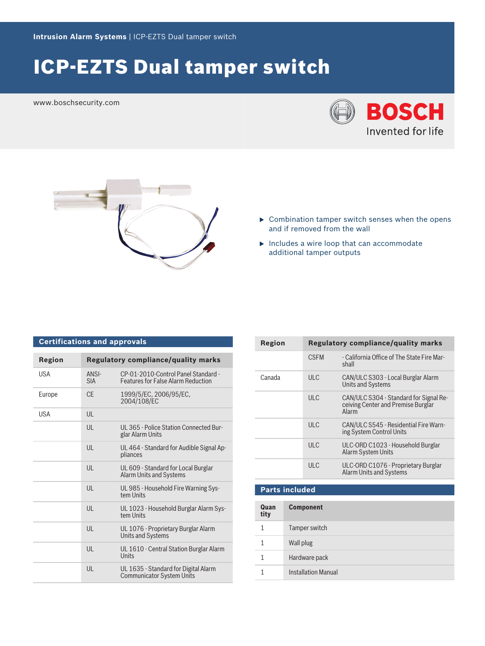## ICP-EZTS Dual tamper switch

www.boschsecurity.com





- $\triangleright$  Combination tamper switch senses when the opens and if removed from the wall
- $\blacktriangleright$  Includes a wire loop that can accommodate additional tamper outputs

| <b>Certifications and approvals</b> |                     |                                                                                  |  |  |
|-------------------------------------|---------------------|----------------------------------------------------------------------------------|--|--|
| <b>Region</b>                       |                     | <b>Regulatory compliance/quality marks</b>                                       |  |  |
| <b>USA</b>                          | ANSI-<br><b>SIA</b> | CP-01-2010-Control Panel Standard -<br><b>Features for False Alarm Reduction</b> |  |  |
| Europe                              | CF.                 | 1999/5/EC, 2006/95/EC,<br>2004/108/EC                                            |  |  |
| USA                                 | UL                  |                                                                                  |  |  |
|                                     | $\mathsf{U}$        | UL 365 - Police Station Connected Bur-<br>glar Alarm Units                       |  |  |
|                                     | UL                  | UL 464 - Standard for Audible Signal Ap-<br>pliances                             |  |  |
|                                     | $\mathsf{U}$        | UL 609 - Standard for Local Burglar<br><b>Alarm Units and Systems</b>            |  |  |
|                                     | $\mathsf{U}$        | UL 985 - Household Fire Warning Sys-<br>tem Units                                |  |  |
|                                     | UL                  | UL 1023 - Household Burglar Alarm Sys-<br>tem Units                              |  |  |
|                                     | UL                  | UL 1076 - Proprietary Burglar Alarm<br>Units and Systems                         |  |  |
|                                     | UL                  | UL 1610 - Central Station Burglar Alarm<br>Units                                 |  |  |
|                                     | UL                  | UL 1635 - Standard for Digital Alarm<br><b>Communicator System Units</b>         |  |  |

| Region | <b>Regulatory compliance/quality marks</b> |                                                                                       |
|--------|--------------------------------------------|---------------------------------------------------------------------------------------|
|        | <b>CSFM</b>                                | - California Office of The State Fire Mar-<br>shall                                   |
| Canada | ULC.                                       | CAN/ULC S303 - Local Burglar Alarm<br><b>Units and Systems</b>                        |
|        | ULC                                        | CAN/ULC S304 - Standard for Signal Re-<br>ceiving Center and Premise Burglar<br>Alarm |
|        | ULC                                        | CAN/ULC S545 - Residential Fire Warn-<br>ing System Control Units                     |
|        | ULC                                        | ULC-ORD C1023 - Household Burglar<br><b>Alarm System Units</b>                        |
|        | ULC.                                       | ULC-ORD C1076 - Proprietary Burglar<br>Alarm Units and Systems                        |

| Quan<br>tity | <b>Component</b>           |
|--------------|----------------------------|
| 1            | Tamper switch              |
|              | Wall plug                  |
| 1            | Hardware pack              |
|              | <b>Installation Manual</b> |

**Parts included**